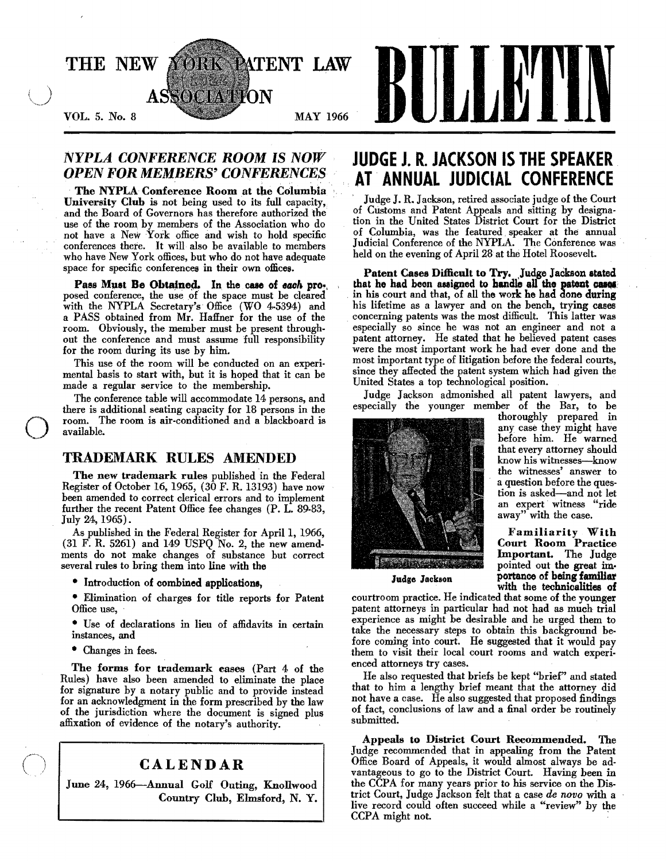

#### NYPLA CONFERENCE ROOM IS NOW OPEN FOR MEMBERS' CONFERENCES

. The NYPLA Conference Room at the Columbia . University Club is not being used to its full capacity, and the Board of Governors has therefore authorized the use of the room by members of the Association who do not have a New York office and wish to hold specific conferences there. It will also be available to members who have New York offices, but who do not have adequate space for specific conferences in their own offices.

Pass Must Be Obtained. In the case of each pro-, posed conference, the use of the space must be cleared with the NYPLA Secretary's Office (WO 4·5394) and a PASS obtained from Mr. Haffner for the use of the room. Obviously, the member must be present throughout the conference and must assume full responsibility for the room during its use by him.

This use of the room will be conducted on an experimental basis to start with, but it is hoped that it can be made a regular service to the memhership.

The conference table will accommodate 14 persons, and there is additional seating capacity for 18 persons in the room. The room is air-conditioned and a blackboard is available.

#### TRADEMARK RULES AMENDED

The new trademark rules published in the Federal Register of October 16, 1965, (30 F. R. 13193) have now been amended to correct clerical errors and to implement further the recent Patent Office fee changes (P. L. 89-83, July 24, 1965).

As published in the Federal Register for April 1, 1966, (31 F. R. 5261) and 149 USPQ No.2, the newamendments do not make changes of substance but correct several rules to bring them into line with the

• Introduction of combined applications,

• Elimination of charges for title reports for Patent Office use,

• Use of declarations in lieu of affidavits in certain instances, and

• Changes in fees.

o

The forms for trademark eases (Part 4 of the Rules) have also been amended to eliminate the place for signature by a notary public and to provide instead for an acknowledgment ia the form prescribed by the law of the jurisdiction where the document is signed plus affixation of evidence of the notary's authority. .

#### CALENDAR

June 24, 1966-Annual Golf Outing, Knollwood Country Club, Elmsford, N. Y.

# **JUDGE J. R. JACKSON IS THE SPEAKER AT· ANNUAL JUDICIAL CONFERENCE**

, Judge J. R. Jackson, retired associate judge of the Court of CUstoms and Patent Appeals and sitting by designation in the United States District Court for the District of Columbia, was the featured, speaker at the annual Judicial Conference of the NYPLA. The Conference was held on the evening of April 28 at the Hotel Roosevelt.

Patent Cases Difficult to Try. Judge Jackson stated that he had been assigned to handle all the patent cases. in his court and that, of all the work he had done during his lifetime as a lawyer and on the bench, trying cases . concerning patents was the most difficult. This latter was especially so since he was not an engineer and not a patent attorney. He stated that he believed patent cases were the most important work he had ever done and the most important type of litigation before the federal courts, since they affected the patent system which had given the United States a top technological position.

Judge Jackson admonished all patent lawyers, and especially the younger member of the Bar, to be



thoroughly prepared in any case they might have before him. He warned that every attorney should know his witnesses-know the witnesses' answer to a question before the question is asked-and not let an expert witness "ride away" with the case.

Familiarity With Court Room Practice Important. The Judge pointed out the great im· Judge Jackson portance of being familiar with the technicalities of

courtroom practice. He indicated that some of the younger patent attorneys in particular had not had as much trial experience as might be desirable and he urged them to take the necessary steps to obtain this background before coming into court. He suggested that it would pay them to visit their local court rooms and watch experienced attorneys try cases.

He also requested that briefs be kept "brief" and stated that to him a lengthy brief meant that the attorney did not have a case. He also suggested that proposed findings of fact, conclusions of law and a final order be routinely submitted.

Appeals to District Court Recommended. The Judge recommended that in appealing from the Patent Office Board of Appeals, it would almost always be advantageous to go to the District Court. Having been in the CCPA for many years prior to his service on the District Court, Judge Jackson felt that a case *de novo* with a live record could often succeed while a "review" by the CCPA might not.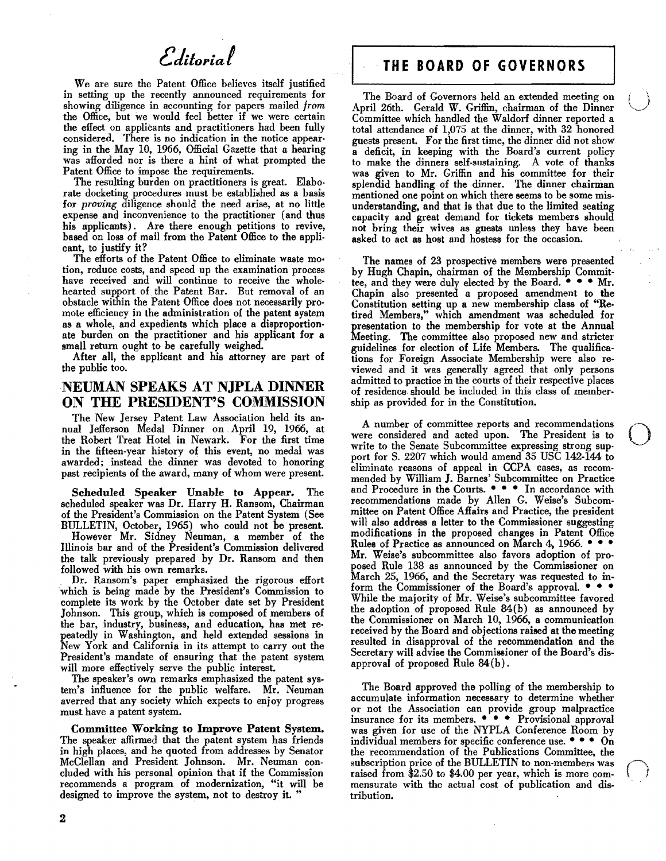# Editorial

We are sure the Patent Office believes itself justified in setting up the recently announced requirements for showing diligence in accounting for papers mailed *from*  the Office, but we would feel better if we were certain the eHect on applicants and practitioners had been fully considered. There is no indication in the notice appearing in the May 10, 1966, Official Gazette that a hearing was aHorded nor is there a hint of what prompted the Patent Office to impose the requirements.

The resulting burden on practitioners is great. Elaborate docketing procedures must be established as a basis for *proving* diligence should the need arise, at no little expense and inconvenience to the practitioner (and thus his applicants). Are there enough petitions to revive, based on loss of mail from the Patent Office to the appli. cant, to justify it?

The efforts of the Patent Office to eliminate waste motion, reduce costs, and speed up the examination process have received and will continue to receive the wholehearted support of the Patent Bar\_ But removal of an obstacle within the Patent Office does not necessarily promote efficiency in the administration of the patent system as a whole, and expedients which place a disproportion. ate burden on the practitioner and his applicant for a small return ought to be carefully weighed.

After all, the applicant and his attorney are part of the public too.

#### NEUMAN SPEAKS AT NJPLA DINNER ON THE PRESIDENT'S COMMISSION

The New Jersey Patent Law Association held its annual Jefferson Medal Dinner on April 19, 1966, at the Robert Treat Hotel in Newark. For the first time in the fifteen-year history of this event, no medal was awarded; instead the dinner was devoted to honoring past recipients of the award, many of whom were present.

Scheduled Speaker Unable to Appear. The scheduled speaker was Dr. Harry H. Ransom, Chairman of the President's Commission on the Patent System (See BULLETIN, October, 1965) who could not be present.

However Mr. Sidney Neuman. a member of the Illinois bar and of the President's Commission delivered the talk previously prepared by Dr. Ransom and then followed with his own remarks.

Dr. Ransom's paper emphasized the rigorous effort which is being made by the President's Commission to complete its work by the October date set by President Johnson. This group, which is composed of members of the bar, industry, business, and education, has met repeatedly in Washington, and held extended sessions in New York and California in its attempt to carry out the President's mandate of ensuring that the patent system will more effectively serve the public interest.

The speaker's own remarks emphasized the patent system's influence for the public welfare. Mr. Neuman averred that any society which expects to enjoy progress must have a patent system. .

Committee Working to Improve Patent System. The speaker affirmed that the patent system has friends in high places, and he quoted from addresses by Senator McClellan and President Johnson. Mr. Neuman concluded with his personal opinion that if the Commission recommends a program of modernization, "it will be designed to improve the system, not to destroy it. "

#### . THE BOARD **OF GOVERNORS**

The Board of Governors held an extended meeting on April 26th. Gerald W. Griffin, chairman of the Dinner Committee which handled the Waldorf dinner reported a total attendance of 1,075 at the dinner, with 32 honored guests present. For the first time, the dinner did not show a deficit, in keeping with the Board's current policy to make the dinners self-sustaining. A vote of thanks was given to Mr. Griffin and his committee for their splendid handling of the dinner. The dinner chairman mentioned one point on which there seems to be some misunderstanding, and that is that due to the limited seating capacity and great demand for tickets members should not bring their wives as guests unless they have been asked to act as host and hostess for the occasion.

The names of 23 prospective members were presented by Hugh Chapin, chairman of the Membership Committee, and they were duly elected by the Board.  $\bullet \bullet \bullet \text{Mr.}$ Chapin also presented a proposed amendment to the Constitution setting up a new membership class of "Re· tired Members," which amendment was scheduled for presentation to the membership for vote at the Annual Meeting. The committee also proposed new and stricter guidelines for election of Life Members. The qualifications for Foreign Associate Membership were also reviewed and it was generally agreed that only persons admitted to practice in the courts of their respective places of residence. should be included in this class of membership as provided for in the Constitution.

A number of committee reports and recommendations write to the Senate Subcommittee expressing strong supwere considered and acted upon. The President is  $\begin{matrix} \n\text{ns} \\ \n\text{to} \\ \n\text{np.} \n\end{matrix}$ port for S. 2207 which would amend 35 USC 142-144 to eliminate reasons of appeal in CCPA cases, as recommended by William J. Barnes' Subcommittee on Practice and Procedure in the Courts.  $\bullet \bullet \bullet$  In accordance with recommendations made by Allen G. Weise's Subcommittee on Patent Office Affairs and Practice, the president will also address a letter to the Commissioner suggesting modifications in the proposed changes in Patent Office Rules of Practice as announced on March 4, 1966. Mr. Weise's subcommittee also favors adoption of proposed Rule 138 as announced by the Commissioner on March 25, 1966, and the Secretary was requested to inform the Commissioner of the Board's approval.  $\bullet \bullet \bullet$ While the majority of Mr. Weise's subcommittee favored the adoption of proposed Rule 84(b) as announced by the Commissioner on March 10, 1966, a communication received by the Board and objections raised at the meeting resulted in disapproval of the recommendation and the Secretary will advise the Commissioner of the Board's disapproval of proposed Rule 84(b).

The Board approved the polling of the membership to accumulate information necessary to determine whether or not the Association can provide group malpractice insurance for its members.  $\bullet \bullet \bullet$  Provisional approval was given for use of the NYPLA Conference Room by individual members for specific conference use.  $\bullet \bullet \bullet$  On the recommendation of the Publications Committee, the subscription price of the BULLETIN to non-members was raised from \$2.50 to \$4.00 per year, which is more commensurate with the actual cost of publication and dis· tribution.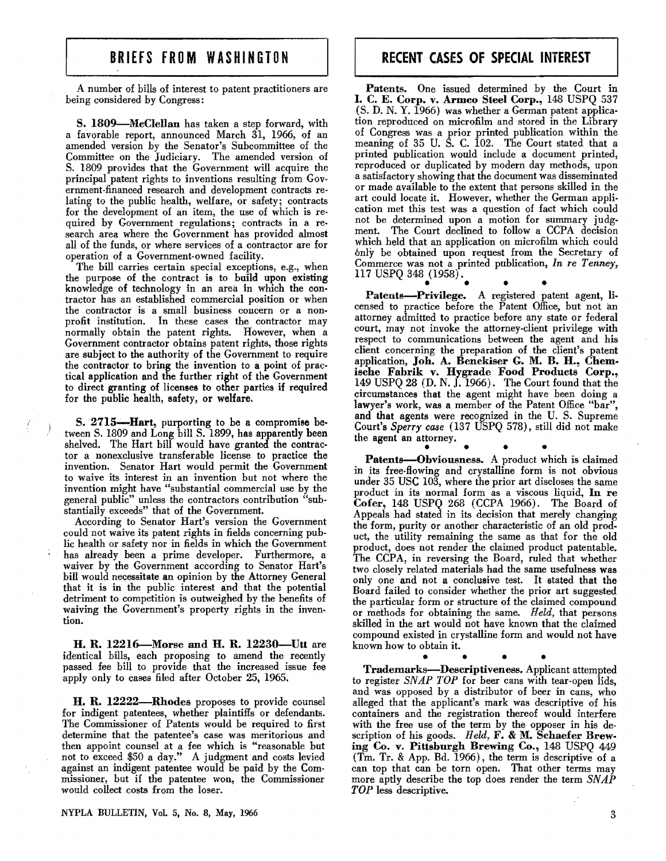## BRIEFS FROM WASHINGTON

A number of bills of interest to patent practitioners are being considered by Congress:

S. 1809-McClellan has taken a step forward, with a favorable report, announced March 31, 1966, of an amended version by the Senator's Subcommittee of the Committee on the Judiciary. The amended version of S. 1809 provides that the Government will acquire the principal patent rights to inventions resulting from Government-financed research and development contracts relating to the public health, welfare, or safety; contracts for the development of an item, the use of which is required by Government regulations; contracts in a research area where the Government has provided almost all of the funds, or where services of a contractor are for operation of a Government-owned facility.

The bill carries certain special exceptions, e.g., when the purpose of the contract is to build upon existing knowledge of technology in an area in which the contractor has an established commercial position or when the contractor is a small business concern or a non· profit institution. In these cases the contractor may normally obtain the patent rights. However, when a Government contractor obtains patent rights, those rights are subject to the authority of the Government to require the contractor to bring the invention to a point of practical application and the further right of the Government to direct granting of licenses to other parties if required for the public health, safety, or welfare.

S. 2715-Hart, purporting to be a compromise between S. 1809 and Long bill S. 1899, has apparently been shelved. The Hart bill would have granted the contrac· tor a nonexclusive transferable license to practice the invention. Senator Hart would permit the Government to waive its interest in an invention but not where the invention might have "substantial commercial use by the general public" unless the contractors contribution "substantially exceeds" that of the Government.

According to Senator Hart's version the Government could not waive its patent rights in fields concerning public health or safety nor in fields in which the Government has already been a prime developer. Furthermore, a waiver by the Government according to Senator Hart's bill would necessitate an opinion by the Attorney General that it is in the public interest and that the potential detriment to competition is outweighed by the benefits of waiving the Government's property rights in the inven· tion.

H. R. 12216-Morse and H. R. 12230-Utt are identical bills, each proposing to amend the recently passed fee bill to provide that the increased issue fee apply only to cases filed after October 25, 1965.

H. R. 12222-Rhodes proposes to provide counsel for indigent patentees, whether plaintiffs or defendants. The Commissioner of Patents would be required to first determine that the patentee's case was meritorious and then appoint counsel at a fee which is "reasonable but not to exceed \$50 a day." A judgment and costs levied against an indigent patentee would be paid by the Com· missioner, but if the patentee won, the Commissioner would collect .costs from the loser.

RECENT CASES OF SPECIAL INTEREST

Patents. One issued determined by the Court in I. C. E. Corp. v. Armco Steel Corp., 148 USPQ 537 (S. D. N. Y. 1966) was whether a German patent applica· tion reproduced on microfilm and stored in the Library of Congress was a prior printed publication within· the meaning of 35 U. S. C. 102. The Court stated that a printed publication would include a document printed, reproduced or duplicated by modern day methods, upon a satisfactory showing that the document was disseminated or made available to the extent that persons skilled in the art could locate it. However, whether the German appli· cation met this test was a question of fact which could not be determined upon a motion for summary judg. ment. The Court declined to follow a CCPA decision which held that an application on microfilm which could bnly be obtained upon request from the Secretary of Commerce was not a printed publication, *In re Tenney,*  117 USPQ 348 (1958).

Patents-Privilege. A registered patent agent, licensed to practice before the Patent Office, but not an attorney admitted to practice before any state or federal court, may not invoke the attorney.client privilege with respect to communications between the agent and his client concerning the preparation of the client's patent application, Joh. A. Benckiser G. M. B. H., Chernische Fabrik v. Hygrade Food Products Corp., 149 USPQ 28 (D. N. J. 1966). The Court found that the circumstances that the agent might have been doing a lawyer's work, was a member of the Patent Office "bar", and that agents were recognized in the U. S. Supreme Court's *Sperry case* (137 USPQ 578), still did not make the agent an attorney.

 $\bullet$   $\bullet$   $\bullet$   $\bullet$   $\bullet$ Patents-Obviousness. A product which is claimed in its free-flowing and crystalline form is not obvious under 35 USC 103, where the prior art discloses the same product in its normal form as a viscous liquid, In re Cofer, 148 USPQ 268 (CCPA 1966). The Board of Appeals had stated in its decision that merely changing the form, purity or another characteristic of an old product, the utility remaining the same as that for the old product, does not render the claimed product patentable. The CCPA, in reversing the Board, ruled that whether two closely related materials had the same usefulness was only one and not a conclusive test. It stated that the Board failed to consider whether the prior art suggested the particular form or structure of the claimed compound or methods for obtaining the same. *Held,* that persons skilled in the art would not have known that the claimed compound existed in crystalline form and would not have known how to obtain it.

 $\bullet$   $\bullet$   $\bullet$   $\bullet$ Trademarks-Descriptiveness. Applicant attempted to register *SNAP TOP* for beer cans with tear-open lids, and was opposed by a distributor of beer in cans, who alleged that the applicant's mark was descriptive of his containers and the registration thereof would interfere with the free use of the term by the opposer in his description of his goods. *Held,* F. & M. Schaefer Brewing Co. v. Pittsburgh Brewing Co., 148 USPQ 449 (Tm. Tr. & App. Bd. 1966), the term is descriptive of a can top that can be torn open. That other terms may more aptly describe the top does render the term *SNAP TOP* less descriptive.

#### NYPLA BULLETIN, Vol. 5, No. 8, May, 1966

3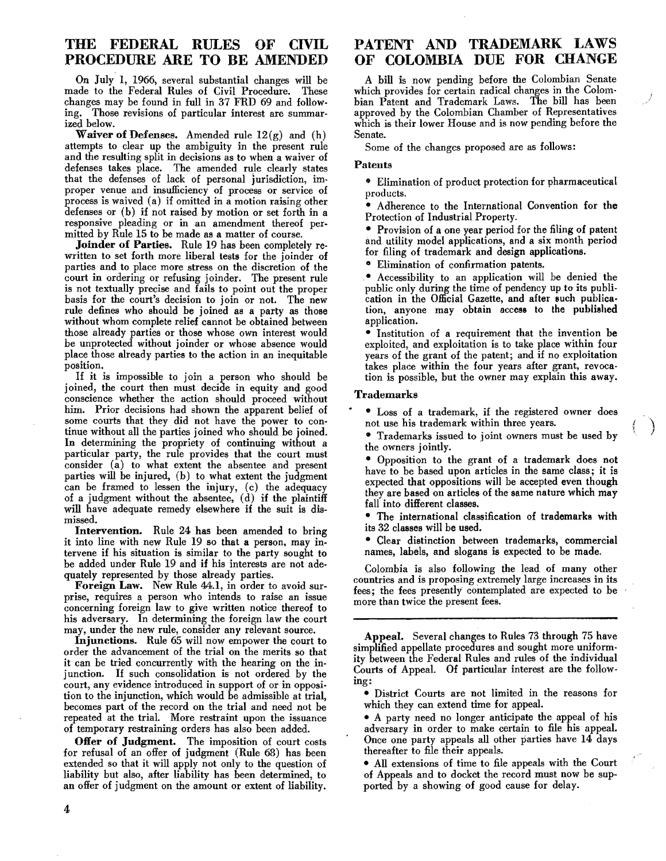#### THE FEDERAL RULES OF CIVIL PROCEDURE ARE TO BE AMENDED

On July 1, 1966, several substantial changes will be made to the Federal Rules of Civil Procedure. These changes may be found in full in 37 FRD 69 and following. Those revisions of particular interest are summarized below.

Waiver of Defenses. Amended rule  $12(g)$  and (h) attempts to clear up the ambiguity in the present rule and the resulting split in decisions as to when a waiver of defenses takes place. The amended rule clearly states that the defenses of lack of personal jurisdiction, improper venue and insufficiency of process or service of process is waived (a) if omitted in a motion raising other defenses or (b) if not raised by motion or set forth in a responsive pleading or in an amendment thereof permitted by Rule 15 to be made as a matter of course.

Joinder of Parties. Rule 19 has been completely rewritten to set forth more liberal tests for the joinder of parties and to place more stress on the discretion of the court in ordering or refusing joinder. The present rule is not textually precise and fails to point out the proper basis for the court's decision to join or not. The new rule defines who should be joined as a party as those without whom complete relief cannot be obtained between those already parties or those whose own interest would be unprotected without joinder or whose absence would place those already parties to the action in an inequitable position.

If it is impossible to join a person who should be joined, the court then must decide in equity and good conscience whether the action should proceed without him. Prior decisions had shown the apparent belief of some courts that they did not have the power to continue without all the parties joined who should be joined. In determining the propriety of continuing without a particular party, the rule provides that the court must consider (a) to what extent the absentee and present parties will be injured, (b) to what extent the judgment can be framed to lessen the injury, (c) the adequacy of a judgment without the absentee, (d) if the plaintiff will have adequate remedy elsewhere if the suit is dis· missed.

Intervention. Rule 24 has been amended to bring it into line with new Rule 19 so that a person, may in· tervene if his situation is similar to the party sought to be added under Rule 19 and if his interests are not adequately represented by those already parties.

Foreign Law. New Rule 44.1, in order to avoid surprise, requires a person who intends to raise an issue concerning foreign law to give written notice thereof to his adversary. In determining the foreign law the court may, under the new rule, consider any relevant source.

Injunctions. Rule 65 will now empower the court to order the advancement of the trial on the merits so that it can be tried concurrently with the hearing on the injunction. If such consolidation is not ordered by the court, any evidence introduced in support of or in opposi. tion to the injunction, which would be admissible at trial, becomes part of the record on the trial and need not be repeated at the trial. More restraint upon the issuance of temporary restraining orders has also been added.

Offer of Judgment. The imposition of court costs for refusal of an offer of judgment (Rule 68) has been extended so that it will apply not only to the question of liability but also, after liability has been determined, to an offer of judgment on the amount or extent of liability.

#### PATENT AND TRADEMARK LAWS OF COLOMBIA DUE FOR CHANGE

A bill is now pending before the Colombian Senate which provides for certain radical changes in the Colombian Patent and Trademark Laws. The bill has been approved by the Colombian Chamber of Representatives which is their lower House and is now pending before the Senate.

Some of the changes proposed are as follows:

#### Patents

• Elimination of product protection for pharmaceutical products.

• Adherence to the International Convention for the Protection of Industrial Property.

• Provision of a one year period for the filing of patent and utility model applications, and a six month period for filing of trademark and design applications.

o Elimination of confirmation patents.

.• Accessibility to an application will be denied the public only during the time of pendency up to its publication in the Official Gazette, and after such publica. tion, anyone may obtain access to the published application.

• Institution of a requirement that the invention be exploited, and exploitation is to take place within four years of the grant of the patent; and if no exploitation takes place within the four years after grant, revoca· tion is possible, but the owner may explain this away.

#### Trademarks

- Loss of a trademark, if the registered owner does not use his trademark within three years.
- Trademarks issued to joint owners must be used by the owners jointly.

• Opposition to the grant of a trademark does not have to be based upon articles in the same class; it is expected that oppositions will be accepted even though they are based on articles of the same nature which may fall into different classes.

- The international classification of trademarks with its 32 classes will be used.
- Clear distinction between trademarks, commercial names, labels, and slogans is expected to be made.

Colombia is also following the lead of many other countries and is proposing extremely large increases in its fees; the fees presently contemplated are expected to be more than twice the present fees.

Appeal. Several changes to Rules 73 through 75 have simplified appellate procedures and sought more uniformity between the Federal Rules and rules of the individual Courts of Appeal. Of particular interest are the following:

- District Courts are not limited in the reasons for which they can extend time for appeal.
- A party need no longer anticipate the appeal of his adversary in order to make certain to file his appeal. Once one party appeals all other parties have 14 days thereafter to file their appeals.

• All extensions of time to file appeals with the Court of Appeals and to docket the record must now be supported by a showing of good cause for delay.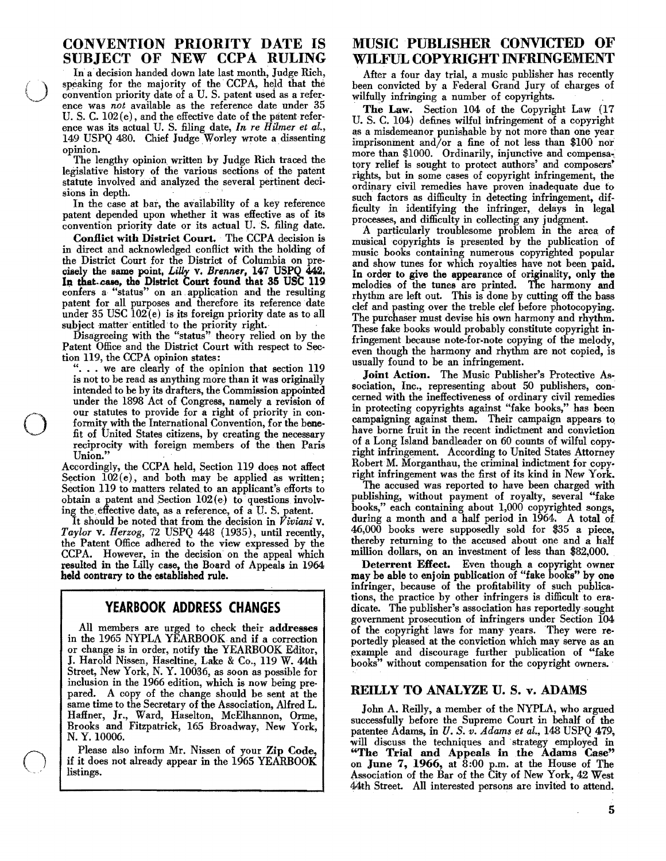In a decision handed down late last month, Judge Rich, speaking for the majority of the CCPA, held that the convention priority date of a U. S. patent used as a refer· ence was *not* available as the reference date under 35 U. S. C.  $102(e)$ , and the effective date of the patent reference was its actual U. S. filing date, *In re Hilmer et al.,*  149 USPQ 480. Chief Judge Worley wrote a dissenting opinion.

 $\bigcirc$ 

o

The lengthy opinion written by Judge Rich traced the legislative history of the various sections of the patent<br>statute involved and analyzed the several pertinent deci-<br>sions in depth. statute involved and analyzed the several pertinent deci-

In the case at bar, the availability of a key reference patent depended upon whether it was effective as of its convention priority date or its actual U.S.fihng date.

Conflict with District Court. The CCPA decision is in direct and acknowledged conflict with the holding of the District Court for the District of Columbia on pre· oisely the same point, *LiUy* v. *Brenner,* 147 USPQ 442. In that-case, the District Court found that 35 USC 119 conlers a "status" on an. application and the resulting patent for all purposes and therefore its reference date under  $35$  USC  $102(e)$  is its foreign priority date as to all subject matter entitled to the priority right.

Disagreeing with the "status" theory relied on by the Patent Office and the District Court with respect to Sec· tion 119, the CCPA opinion states:

"... we are clearly of the opinion that section 119 is not to be read as anything more than it was originally intended to be by its drafters, the Commission appointed under the 1898 Act of Congress, namely a revision of our statutes to provide for a right of priority in con· formity with the International Convention, for the benefit of United States citizens, by creating the necessary reciprocity with foreign members of the then Paris Union."

Accordingly, the CCPA held, Section 119 does not affect Section  $102(e)$ , and both may be applied as written; Section 119 to matters related. to an applicant's efforts to obtain a patent and Section  $102(e)$  to questions involv-

ing the. effective date, as a reference, of a U. S. patent. It should be noted that from the decision in *Viviani* v. Taylor v. Herzog, 72 USPQ 448 (1935), until recently, the Patent Office adhered to the view expressed by the CCPA. However, in the decision on the appeal which resulted in the Lilly case, the Board of Appeals in 1964 beld contrary to the established rule.

### YEARBOOK ADDRESS CHANGES

All members are urged to check their addresses in the 1965 NYPLA YEARBOOK and if a correction or change is in order, notify the YEARBOOK Editor, J. Harold Nissen, Haseltine, Lake & Co., 119 W. 44th Street, New York, N. Y. 10036, as soon as possible for inclusion in the 1966 edition, which is now being prepared. A copy of the change should be sent at the same time to the Secretary of the Association, Alfred L. Haffner, Jr., Ward, Haselton, McElhannon, Orme, Brooks and Fitzpatrick, 165 Broadway, New York, N. Y.10006.

Please also inform Mr. Nissen of your Zip Code, if it does not already appear in the 1965 YEARBOOK listings.

### CONVENTION PRIORITY DATE IS MUSIC PUBLISHER CONVICTED OF SUBJECT OF NEW CCPA RULING WILFULCOPYRIGHT INFRINGEMENT

After a four day trial, a music publisher has recently been convicted by a Federal Grand Jury of charges of wilfully infringing a number of copyrights.

. The Law. Section 104 of the Copyright Law (17 U. S. C. 104) defines wilful infringement of a copyright as a misdemeanor punishable by not more than one year imprisoninent and/or a fine of not less than \$100 nor more than \$1000. Ordinarily, injunctive and compensatory relief is sought to protect authors' and composers' rights, but in some cases of copyright infringement, the ordinary civil remedies have proven inadequate due to such factors as difficulty in detecting infringement, difficulty in identifying the infringer, delays in legal processes, and difficulty in collecting any judgment.

A particularly troublesome problem in the area of musical copyrights is presented by the publication of music books containing numerous copyrighted popular and show tunes for which royalties have not been paid. In order to give the appearance of originality, only the melodies of the tunes are printed. The harmony and rhythm are left out. This is done by cutting off the bass clef and pasting over the treble clef before photocopying. The purchaser must devise his own harmony and rhythm. These fake books would probably constitute copyright infringement because note·for-note copying of the melody, even though the harmony and rhythm are not copied, is usually found to be an infringement.

Joint Action. The Music Publisher's Protective Association, Inc., representing about 50 publishers, concerned with the ineffectiveness of ordinary civil remedies in protecting copyrights against "fake books," has been campaigning against them. Their campaign appears to have borne fruit in the recent indictment and conviction of a Long Island bandleader on 60 counts of wilful copyright infringement. According to United States Attorney Robert M. Morganthau, the criminal indictment for copy. right infringement was the first of its kind in New York.

The accused was reported to have been Charged with publishing, without payment of royalty, several "fake books," each containing about 1,000 copyrighted songs, during a month and a half period in 1964. A total of 46,000 books were supposedly sold for \$35 a piece, thereby returning to the accused about one and a half million dollars, on an investment of less than \$82,000.

Deterrent Effect. Even though a copyright owner may he able to enjoin publication of "fake books" by one infringer, because of the profitability of such publications, the practice by other infringers is difficult to eradicate. The publisher's association has reportedly sought government prosecution of infringers under Section 104 of the copyright laws for many years. They were reportedly pleased at the conviction which may serve as an example and discourage further publication of "fake books" without compensation for the copyright owners.

#### REILLY TO ANALYZE U. S. v. ADAMS

John A. Reilly, a member of the NYPLA, who argued successfully before the Supreme Court in behalf of the patentee Adams, in *U. S. v. Adams et* al., 148 USPQ 479, will discuss the techniques and strategy employed in "The Trial and Appeals in the Adams Case" on June 7, 1966, at  $\hat{8}:00$  p.m. at the House of The Association of the Bar of the City of New York, 42 West 44th Street. All interested persons are invited to attend.